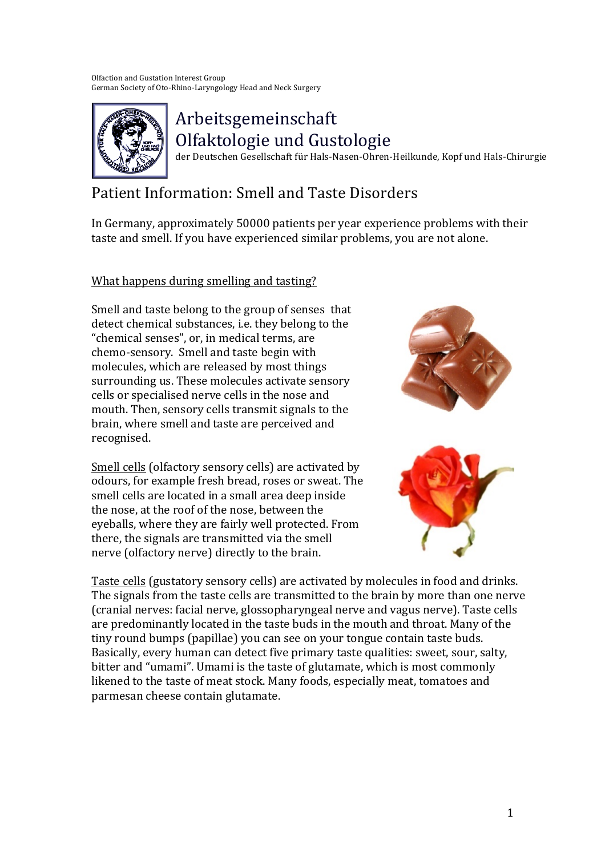Olfaction and Gustation Interest Group German Society of Oto-Rhino-Laryngology Head and Neck Surgery



# Arbeitsgemeinschaft Olfaktologie und Gustologie

der Deutschen Gesellschaft für Hals-Nasen-Ohren-Heilkunde, Kopf und Hals-Chirurgie

# Patient Information: Smell and Taste Disorders

In Germany, approximately 50000 patients per year experience problems with their taste and smell. If you have experienced similar problems, you are not alone.

## What happens during smelling and tasting?

Smell and taste belong to the group of senses that detect chemical substances, i.e. they belong to the "chemical senses", or, in medical terms, are chemo-sensory. Smell and taste begin with molecules, which are released by most things surrounding us. These molecules activate sensory cells or specialised nerve cells in the nose and mouth. Then, sensory cells transmit signals to the brain, where smell and taste are perceived and recognised. 

Smell cells (olfactory sensory cells) are activated by odours, for example fresh bread, roses or sweat. The smell cells are located in a small area deep inside the nose, at the roof of the nose, between the eyeballs, where they are fairly well protected. From there, the signals are transmitted via the smell nerve (olfactory nerve) directly to the brain.



Taste cells (gustatory sensory cells) are activated by molecules in food and drinks. The signals from the taste cells are transmitted to the brain by more than one nerve (cranial nerves: facial nerve, glossopharyngeal nerve and vagus nerve). Taste cells are predominantly located in the taste buds in the mouth and throat. Many of the tiny round bumps (papillae) you can see on your tongue contain taste buds. Basically, every human can detect five primary taste qualities: sweet, sour, salty, bitter and "umami". Umami is the taste of glutamate, which is most commonly likened to the taste of meat stock. Many foods, especially meat, tomatoes and parmesan cheese contain glutamate.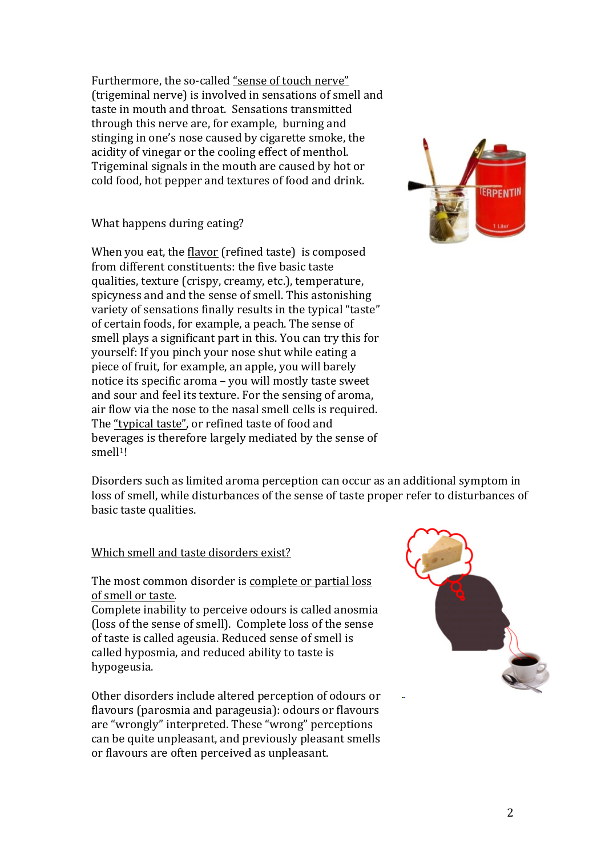Furthermore, the so-called "sense of touch nerve" (trigeminal nerve) is involved in sensations of smell and taste in mouth and throat. Sensations transmitted through this nerve are, for example, burning and stinging in one's nose caused by cigarette smoke, the acidity of vinegar or the cooling effect of menthol. Trigeminal signals in the mouth are caused by hot or cold food, hot pepper and textures of food and drink.

What happens during eating?

When you eat, the flavor (refined taste) is composed from different constituents: the five basic taste qualities, texture (crispy, creamy, etc.), temperature, spicyness and and the sense of smell. This astonishing variety of sensations finally results in the typical "taste" of certain foods, for example, a peach. The sense of smell plays a significant part in this. You can try this for yourself: If you pinch your nose shut while eating a piece of fruit, for example, an apple, you will barely notice its specific aroma - you will mostly taste sweet and sour and feel its texture. For the sensing of aroma, air flow via the nose to the nasal smell cells is required. The "typical taste", or refined taste of food and beverages is therefore largely mediated by the sense of smell<sup>11</sup>

Disorders such as limited aroma perception can occur as an additional symptom in loss of smell, while disturbances of the sense of taste proper refer to disturbances of basic taste qualities.

## Which smell and taste disorders exist?

The most common disorder is complete or partial loss of smell or taste.

Complete inability to perceive odours is called anosmia (loss of the sense of smell). Complete loss of the sense of taste is called ageusia. Reduced sense of smell is called hyposmia, and reduced ability to taste is hypogeusia. 

Other disorders include altered perception of odours or flavours (parosmia and parageusia): odours or flavours are "wrongly" interpreted. These "wrong" perceptions can be quite unpleasant, and previously pleasant smells or flavours are often perceived as unpleasant.



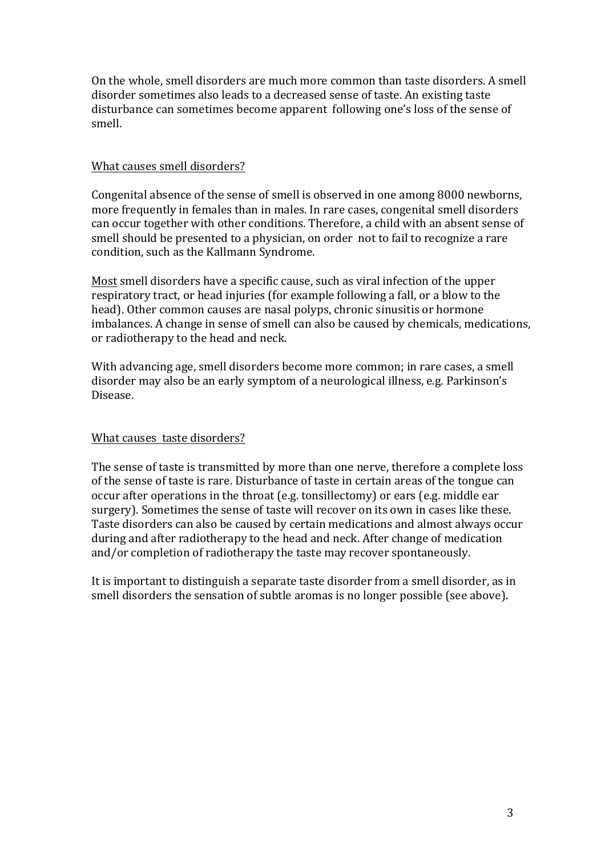On the whole, smell disorders are much more common than taste disorders. A smell disorder sometimes also leads to a decreased sense of taste. An existing taste disturbance can sometimes become apparent following one's loss of the sense of smell. 

#### What causes smell disorders?

Congenital absence of the sense of smell is observed in one among 8000 newborns, more frequently in females than in males. In rare cases, congenital smell disorders can occur together with other conditions. Therefore, a child with an absent sense of smell should be presented to a physician, on order not to fail to recognize a rare condition, such as the Kallmann Syndrome.

Most smell disorders have a specific cause, such as viral infection of the upper respiratory tract, or head injuries (for example following a fall, or a blow to the head). Other common causes are nasal polyps, chronic sinusitis or hormone imbalances. A change in sense of smell can also be caused by chemicals, medications, or radiotherapy to the head and neck.

With advancing age, smell disorders become more common; in rare cases, a smell disorder may also be an early symptom of a neurological illness, e.g. Parkinson's Disease. 

### What causes taste disorders?

The sense of taste is transmitted by more than one nerve, therefore a complete loss of the sense of taste is rare. Disturbance of taste in certain areas of the tongue can occur after operations in the throat  $(e.g.$  tonsillectomy) or ears  $(e.g.$  middle ear surgery). Sometimes the sense of taste will recover on its own in cases like these. Taste disorders can also be caused by certain medications and almost always occur during and after radiotherapy to the head and neck. After change of medication and/or completion of radiotherapy the taste may recover spontaneously.

It is important to distinguish a separate taste disorder from a smell disorder, as in smell disorders the sensation of subtle aromas is no longer possible (see above).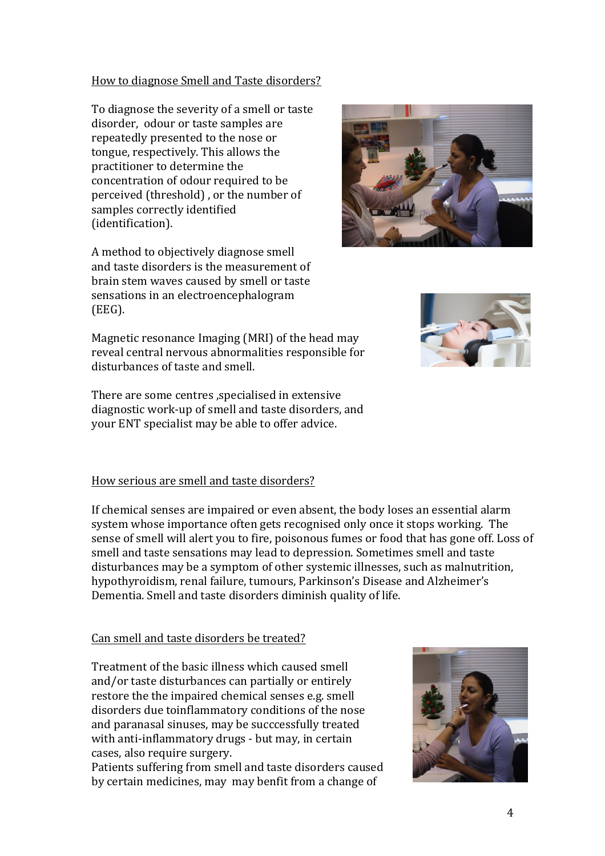### How to diagnose Smell and Taste disorders?

To diagnose the severity of a smell or taste disorder, odour or taste samples are repeatedly presented to the nose or tongue, respectively. This allows the practitioner to determine the concentration of odour required to be perceived (threshold), or the number of samples correctly identified (identification). 

A method to objectively diagnose smell and taste disorders is the measurement of brain stem waves caused by smell or taste sensations in an electroencephalogram (EEG). 

Magnetic resonance Imaging (MRI) of the head may reveal central nervous abnormalities responsible for disturbances of taste and smell.

There are some centres , specialised in extensive diagnostic work-up of smell and taste disorders, and your ENT specialist may be able to offer advice.

#### How serious are smell and taste disorders?

If chemical senses are impaired or even absent, the body loses an essential alarm system whose importance often gets recognised only once it stops working. The sense of smell will alert you to fire, poisonous fumes or food that has gone off. Loss of smell and taste sensations may lead to depression. Sometimes smell and taste disturbances may be a symptom of other systemic illnesses, such as malnutrition, hypothyroidism, renal failure, tumours, Parkinson's Disease and Alzheimer's Dementia. Smell and taste disorders diminish quality of life.

### Can smell and taste disorders be treated?

Treatment of the basic illness which caused smell and/or taste disturbances can partially or entirely restore the the impaired chemical senses e.g. smell disorders due toinflammatory conditions of the nose and paranasal sinuses, may be succcessfully treated with anti-inflammatory drugs - but may, in certain cases, also require surgery.

Patients suffering from smell and taste disorders caused by certain medicines, may may benfit from a change of







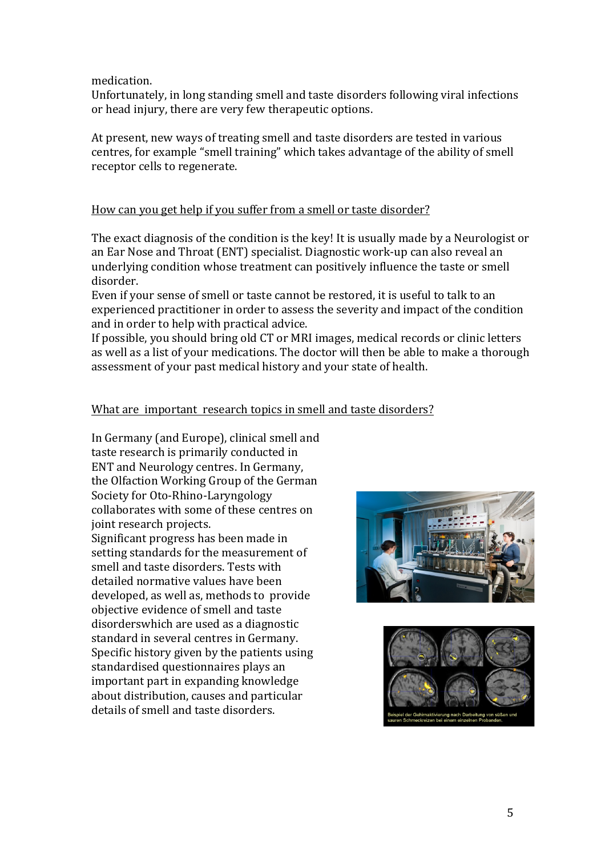medication.

Unfortunately, in long standing smell and taste disorders following viral infections or head injury, there are very few therapeutic options.

At present, new ways of treating smell and taste disorders are tested in various centres, for example "smell training" which takes advantage of the ability of smell receptor cells to regenerate.

## How can you get help if you suffer from a smell or taste disorder?

The exact diagnosis of the condition is the key! It is usually made by a Neurologist or an Ear Nose and Throat (ENT) specialist. Diagnostic work-up can also reveal an underlying condition whose treatment can positively influence the taste or smell disorder. 

Even if your sense of smell or taste cannot be restored, it is useful to talk to an experienced practitioner in order to assess the severity and impact of the condition and in order to help with practical advice.

If possible, you should bring old CT or MRI images, medical records or clinic letters as well as a list of your medications. The doctor will then be able to make a thorough assessment of your past medical history and your state of health.

### What are important research topics in smell and taste disorders?

In Germany (and Europe), clinical smell and taste research is primarily conducted in ENT and Neurology centres. In Germany, the Olfaction Working Group of the German Society for Oto-Rhino-Laryngology collaborates with some of these centres on joint research projects. Significant progress has been made in setting standards for the measurement of smell and taste disorders. Tests with detailed normative values have been developed, as well as, methods to provide objective evidence of smell and taste disorderswhich are used as a diagnostic standard in several centres in Germany. Specific history given by the patients using standardised questionnaires plays an important part in expanding knowledge about distribution, causes and particular details of smell and taste disorders.



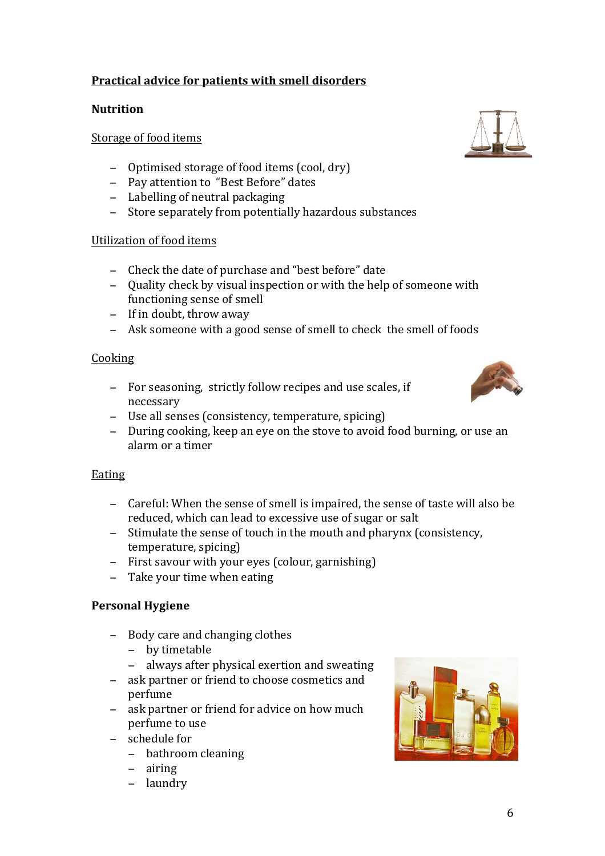## Practical advice for patients with smell disorders

### **Nutrition**

#### Storage of food items

- − Optimised storage of food items (cool, dry)
- − Pay attention to "Best Before" dates
- − Labelling of neutral packaging
- − Store separately from potentially hazardous substances

#### Utilization of food items

- − Check the date of purchase and "best before" date
- − Ouality check by visual inspection or with the help of someone with functioning sense of smell
- − If in doubt, throw away
- − Ask someone with a good sense of smell to check the smell of foods

#### Cooking

- − For seasoning, strictly follow recipes and use scales, if necessary
- − Use all senses (consistency, temperature, spicing)
- − During cooking, keep an eye on the stove to avoid food burning, or use an alarm or a timer

### Eating

- − Careful: When the sense of smell is impaired, the sense of taste will also be reduced, which can lead to excessive use of sugar or salt
- − Stimulate the sense of touch in the mouth and pharynx (consistency, temperature, spicing)
- − First savour with your eyes (colour, garnishing)
- − Take your time when eating

### **Personal Hygiene**

- − Body care and changing clothes
	- − by timetable
	- − always after physical exertion and sweating
- − ask partner or friend to choose cosmetics and perfume
- − ask partner or friend for advice on how much perfume to use
- − schedule for
	- − bathroom cleaning
	- − airing
	- − laundry